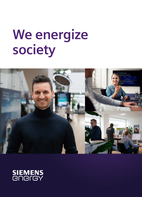# **We energize society**



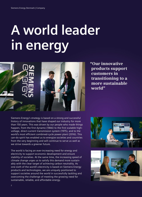# **A world leader in energy**



# **"Our innovative products support customers in transitioning to a more sustainable world"**

Siemens Energy's strategy is based on a strong and successful history of innovations that have shaped our industry for more than 150 years. This was driven by our people who made things happen, from the first dynamo (1866) to the first scalable highvoltage, direct-current transmission system (1975), and to the world's most efficient combined-cycle power plant (2016). This can-do spirit has enabled us to energize societies and countries from the very beginning and will continue to serve us well as we strive towards a greener future.

The world is facing an ever-increasing need for energy and electricity to support economic development and ensure stability of societies. At the same time, the increasing speed of climate change urges us to satisfy this demand more sustainably with the clear target of achieving carbon neutrality. As one-sixth of the world's electricity is based on Siemens Energy products and technologies, we are uniquely positioned to support societies around the world in successfully tackling and overcoming the challenge of meeting the growing need for sustainable, reliable, and affordable energy.

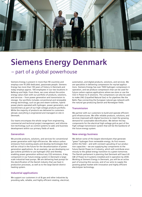

# **Siemens Energy Denmark**

– part of a global powerhouse

Siemens Energy is present in more than 90 countries and employs over 91,000 dedicated, passionate people. Siemens Energy has more than 130 years of history in Denmark and today employs approx. 100 employees in our two locations in Ballerup and Vejle. From there, we cover almost the entire energy value chain with our portfolio of products, solutions, and services – from power generation and transmission to storage. Our portfolio includes conventional and renewable energy technology, such as gas and steam turbines, hybrid power plants operated with hydrogen, power generators, and transformers as part of our high-voltage products portfolio. While the majority of products are delivered to customers abroad, everything is engineered and managed on-site in Denmark.

Our teams encompass the whole range from engineering, commercial and technical project management, and information technology such as control systems to sales and business development within our primary fields of work:

#### **Generation**

We provide products, solutions, and services for conventional power generation with high efficiencies. We reduce carbon emissions from existing assets and develop technologies that will be critical in the future for the decarbonization of power generation applications. As an example, we are developing our gas turbine portfolio to use hydrogen (H2) and thereby enabling power generation without any CO2 emissions. A key component in our future energy system in Denmark is largescale industrial heat pumps. We are delivering heat pumps for the electrification of the Danish industry that use heat in production processes, as well as to the large Danish district heating system.

#### **Industrial applications**

We support our customers in oil & gas and other industries by providing safe, reliable, and highly efficient rotating, electrical,

automation, and digital products, solutions, and services. We are specialists in delivering compressors for myriad applications. Siemens Energy has over 1500 hydrogen compressors in operation, and we produce compressors that can be used for future carbon-capture applications where we store or use the CO2 in Power-to-X solutions. The compressors can also be used to make LNG (Liquefied Natural Gas) or for pipelines like the Baltic Pipe connecting the European natural gas network with the natural gas-producing Danish and Norwegian fields.

#### **Transmission**

We partner with our customers to build and operate efficient grid infrastructures. We offer reliable products, solutions, and services improved with digital functions to meet the growing demand for sustainable electrification. We deliver the key components for the electrical high-voltage grid as part of the high-voltage transmission system that will be the backbone of the future energy system.

#### **New energy business**

We deliver some of the largest electrolyzers that generate "green" hydrogen from renewable energy. As first movers within the field – and with constant upscaling of our production capacities – we are supplying key components to the future Danish Power-to-X industry, which will contribute enormously to the global energy transition to a green tomorrow. The Danish parliament is planning that Denmark will have 6-8 GW of Power-to-X systems installed and in operation by 2030. Working at Siemens Energy in Denmark, you will be an active part of ensuring this success, and of our aims to supply the growing global market with innovation and highly efficient electrolyzer technology.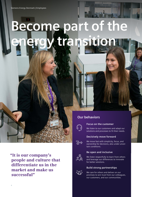# **Become part of the energy transition**

## **Our behaviors**



### **Focus on the customer**

We listen to our customers and adapt our solutions and processes to fit their needs.

### **Decisively move forward**



We move fast with simplicity, focus, and ownership for decisions, also under uncertain conditions.

### **Be open and inclusive**

We listen respectfully to learn from others and leverage our differences to innovate for better solutions.

### **Build strong partnerships**

We care for others and deliver on our promises to win trust from our colleagues, our customers, and our communities.

**"It is our company's people and culture that differentiate us in the market and make us successful"**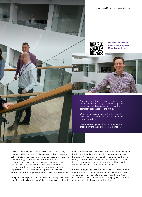Employees | Siemens Energy Denmark





**Scan the QR-code to meet Power Engineer Mike Gunner Bach**

- Our aim is to be the preferred employer of choice in the energy industry by constantly supporting our employees' development to master the competencies needed for the future.
- We aspire to become the most inclusive and diverse workplace from which to engage in the energy transition.
- We develop competent, innovative employees that are driving the business transformation.

One of Siemens Energy Denmark's key assets is the skilled, creative, and highly committed employees. It is our people and culture that provide the strong foundation upon which we can lead the energy transition and make a difference for our customers, investors, suppliers, partners, employees, and society. That is why we prioritize activities to support employees' skills and commitment, and why we continuously implement measures to improve employees' health and job satisfaction, as well as professional and personal development.

As a global employer, we are committed to equality, inclusion, and diversity in all our teams. We believe that a culture based

on our fundamental values is key. At the same time, the digitalization of the workplace is changing the way we work and bringing forth new models of collaboration. We see this as a strong competitive advantage and a further opportunity to foster innovation, develop a future-ready workforce, and attract the best talent from around the world.

We want everyone to bring their whole self to work and reach their full potential. Therefore, we aim to create a workplace environment that is open to everybody regardless of their background, and we strive to offer our employees equal treatment in a non-discriminatory work setting.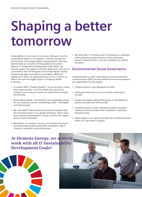# **Shaping a better tomorrow**

Sustainability is at the core of our actions. We want to be the sustainability leader in our industry – and that includes the environment, social responsibility, and governance. We have declared that our activities will be guided by the United Nations' 17 Sustainability Development Goals (SDGs), we actively support the targets of the Paris Agreement, and we are committed to the Ten Principles of the United Nations Global Compact and report annually on our progress. While we address all 17 SDGs, we specifically focus on five in which our efforts can have the biggest impact in shaping a better tomorrow:

- To achieve SDG 5 "Gender Equality", we are striving to create equal opportunities, in the firm belief that not just our company, but society as a whole can benefit from inclusion and diversity.
- By providing reliable, cost-effective, and sustainable energy for our customers, we are contributing to SDG 7 "Affordable and Clean Energy".
- We cover SDG 8 "Decent Work and Economic Growth" with the innovative power of our global operations, which stimulates economic development in many countries and creates decent, future-proof jobs.
- Meanwhile, our products, services, and solutions for decarbonizing energy systems worldwide contribute to SDG 9 "Industry, Innovation, and Infrastructure".

We enact SDG 13 "Climate Action" by helping our customers reduce greenhouse gas emissions and by working to become climate neutral in our own operations by 2030 at the latest.

## **Environmental-Social-Governance**

To demonstrate our clear commitment to Environmental-Social-Governance (ESG), we have defined and communicated to our stakeholders five key targets:

- Climate neutral in own operations by 2030.
- 100% green electricity in our own power consumption by 2023.
- Gender diversity by having 25% women in top leadership positions by 2025 and 30% by 2030.
- Compliance policy of Zero Tolerance towards corruption, violations of the principle of fair competition, and other breaches of law.
- Safety leader in our industry through the activities launched within our "Zero Harm" program.

# **At Siemens Energy, we actively work with all 17 Sustainability Development Goals!**



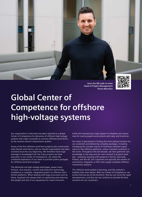

**Scan the QR-code to meet Head of Project Management Panos Mavrikas**

# **Global Center of Competence for offshore high-voltage systems**

Our organization in Denmark has been selected as a global Center of Competence for deliveries of offshore high-voltage systems that make it possible to connect offshore wind farms to the onshore electric transmission system.

Some of the first offshore wind farm projects ever constructed were Danish wind farms, and our Danish organization has been involved since the very beginning. We therefore have huge leverage in knowledge from the many projects we have executed. In our Center of Competence, we utilize the combined experience of our team to provide system packages for offshore wind farm projects.

The deliveries are high-voltage switchgear, power transformers, shut reactors, control and protection technology, installed as a complete, integrated system on offshore transformer platforms. When dealing with large structures such as these, emphasis has always been on optimizing and reducing the weight and size of our equipment to a bare minimum,

while still maintaining a high degree of reliability and robustness for marine-grade environments with salty and humid air.

Our team is specialized in finding the most optimal solution for our customers and delivering complete packages, including managing the complex nature of interfaces between equipment on the offshore platforms, where cramped conditions is the norm. Throughout the last decade, we have gathered vast knowledge in the area and are now involved in projects globally – presently working with projects in the US, Germany, Poland, and the UK. Our customers are typically the owners of wind farms, shipyards, or EPCs that supply complete offshore transformer stations.

The offshore wind market is booming, and the outlook is brighter than ever before. With our Center of Competence, we ensure that we are at the forefront, that we can serve the rapid developments, and that we can continue to provide the best solutions for our customers.